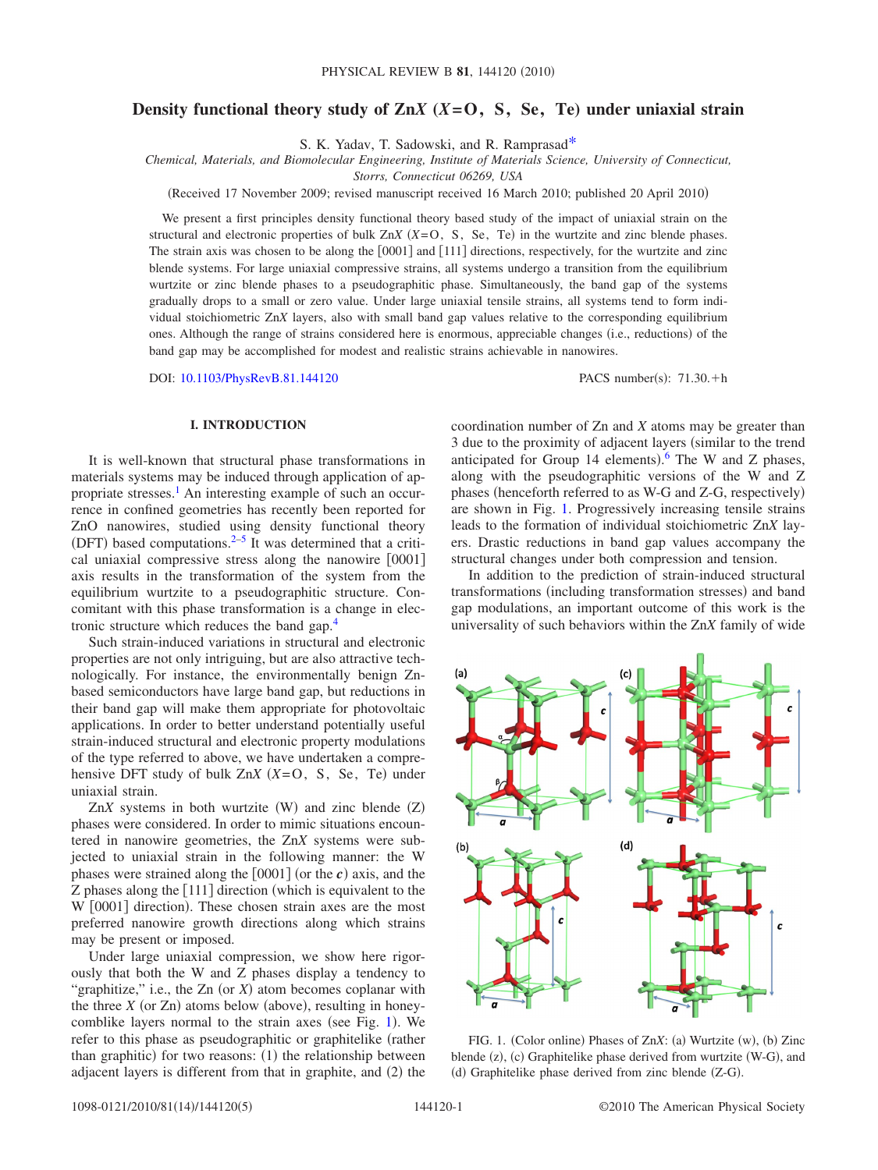# **Density functional theory study of Zn***X* **(***X***=O, S, Se, Te) under uniaxial strain**

S. K. Yadav, T. Sadowski, and R. Ramprasa[d\\*](#page-4-0)

*Chemical, Materials, and Biomolecular Engineering, Institute of Materials Science, University of Connecticut,*

*Storrs, Connecticut 06269, USA*

Received 17 November 2009; revised manuscript received 16 March 2010; published 20 April 2010-

We present a first principles density functional theory based study of the impact of uniaxial strain on the structural and electronic properties of bulk  $ZnX$   $(X=O, S, Se, Te)$  in the wurtzite and zinc blende phases. The strain axis was chosen to be along the  $[0001]$  and  $[111]$  directions, respectively, for the wurtzite and zinc blende systems. For large uniaxial compressive strains, all systems undergo a transition from the equilibrium wurtzite or zinc blende phases to a pseudographitic phase. Simultaneously, the band gap of the systems gradually drops to a small or zero value. Under large uniaxial tensile strains, all systems tend to form individual stoichiometric Zn*X* layers, also with small band gap values relative to the corresponding equilibrium ones. Although the range of strains considered here is enormous, appreciable changes (i.e., reductions) of the band gap may be accomplished for modest and realistic strains achievable in nanowires.

DOI: [10.1103/PhysRevB.81.144120](http://dx.doi.org/10.1103/PhysRevB.81.144120)

PACS number(s):  $71.30.+h$ 

## **I. INTRODUCTION**

It is well-known that structural phase transformations in materials systems may be induced through application of appropriate stresses.<sup>1</sup> An interesting example of such an occurrence in confined geometries has recently been reported for ZnO nanowires, studied using density functional theory (DFT) based computations. $2-5$  It was determined that a critical uniaxial compressive stress along the nanowire  $[0001]$ axis results in the transformation of the system from the equilibrium wurtzite to a pseudographitic structure. Concomitant with this phase transformation is a change in electronic structure which reduces the band gap[.4](#page-4-4)

Such strain-induced variations in structural and electronic properties are not only intriguing, but are also attractive technologically. For instance, the environmentally benign Znbased semiconductors have large band gap, but reductions in their band gap will make them appropriate for photovoltaic applications. In order to better understand potentially useful strain-induced structural and electronic property modulations of the type referred to above, we have undertaken a comprehensive DFT study of bulk  $ZnX$   $(X=O, S, Se, Te)$  under uniaxial strain.

 $ZnX$  systems in both wurtzite  $(W)$  and zinc blende  $(Z)$ phases were considered. In order to mimic situations encountered in nanowire geometries, the Zn*X* systems were subjected to uniaxial strain in the following manner: the W phases were strained along the  $[0001]$  (or the *c*) axis, and the Z phases along the  $[111]$  direction (which is equivalent to the W [0001] direction). These chosen strain axes are the most preferred nanowire growth directions along which strains may be present or imposed.

Under large uniaxial compression, we show here rigorously that both the W and Z phases display a tendency to "graphitize," i.e., the Zn (or  $X$ ) atom becomes coplanar with the three  $X$  (or  $Zn$ ) atoms below (above), resulting in honey-comblike layers normal to the strain axes (see Fig. [1](#page-0-0)). We refer to this phase as pseudographitic or graphitelike (rather than graphitic) for two reasons: (1) the relationship between adjacent layers is different from that in graphite, and (2) the

coordination number of Zn and *X* atoms may be greater than 3 due to the proximity of adjacent layers (similar to the trend anticipated for Group 14 elements). The W and Z phases, along with the pseudographitic versions of the W and Z phases (henceforth referred to as W-G and Z-G, respectively) are shown in Fig. [1.](#page-0-0) Progressively increasing tensile strains leads to the formation of individual stoichiometric Zn*X* layers. Drastic reductions in band gap values accompany the structural changes under both compression and tension.

In addition to the prediction of strain-induced structural transformations (including transformation stresses) and band gap modulations, an important outcome of this work is the universality of such behaviors within the Zn*X* family of wide

<span id="page-0-0"></span>

FIG. 1. (Color online) Phases of ZnX: (a) Wurtzite (w), (b) Zinc blende (z), (c) Graphitelike phase derived from wurtzite (W-G), and (d) Graphitelike phase derived from zinc blende (Z-G).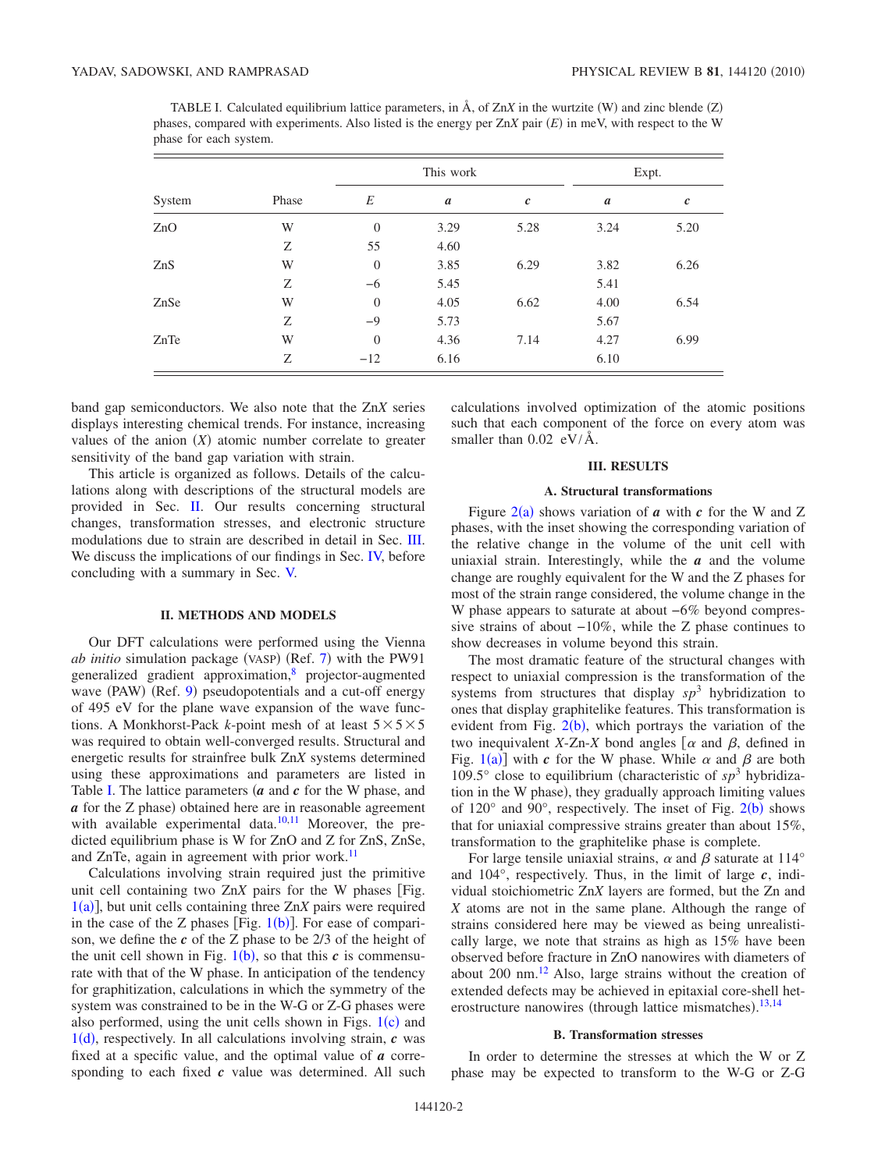| phase for each system. |       |                |                  |                  |                  |                  |
|------------------------|-------|----------------|------------------|------------------|------------------|------------------|
| System                 | Phase | This work      |                  |                  | Expt.            |                  |
|                        |       | E              | $\boldsymbol{a}$ | $\boldsymbol{c}$ | $\boldsymbol{a}$ | $\boldsymbol{c}$ |
| ZnO                    | W     | $\Omega$       | 3.29             | 5.28             | 3.24             | 5.20             |
|                        | Ζ     | 55             | 4.60             |                  |                  |                  |
| ZnS                    | W     | $\overline{0}$ | 3.85             | 6.29             | 3.82             | 6.26             |
|                        | Ζ     | $-6$           | 5.45             |                  | 5.41             |                  |
| ZnSe                   | W     | $\Omega$       | 4.05             | 6.62             | 4.00             | 6.54             |
|                        | Ζ     | $-9$           | 5.73             |                  | 5.67             |                  |
| ZnTe                   | W     | $\Omega$       | 4.36             | 7.14             | 4.27             | 6.99             |
|                        | Ζ     | $-12$          | 6.16             |                  | 6.10             |                  |

<span id="page-1-2"></span>TABLE I. Calculated equilibrium lattice parameters, in  $\tilde{A}$ , of  $ZnX$  in the wurtzite  $(W)$  and zinc blende  $(Z)$ phases, compared with experiments. Also listed is the energy per Zn*X* pair *E*- in meV, with respect to the W

band gap semiconductors. We also note that the Zn*X* series displays interesting chemical trends. For instance, increasing values of the anion  $(X)$  atomic number correlate to greater sensitivity of the band gap variation with strain.

This article is organized as follows. Details of the calculations along with descriptions of the structural models are provided in Sec. [II.](#page-1-0) Our results concerning structural changes, transformation stresses, and electronic structure modulations due to strain are described in detail in Sec. [III.](#page-1-1) We discuss the implications of our findings in Sec. [IV,](#page-4-6) before concluding with a summary in Sec. [V.](#page-4-7)

#### **II. METHODS AND MODELS**

<span id="page-1-0"></span>Our DFT calculations were performed using the Vienna ab initio simulation package (VASP) (Ref. [7](#page-4-8)) with the PW91 generalized gradient approximation,<sup>8</sup> projector-augmented wave (PAW) (Ref. [9](#page-4-10)) pseudopotentials and a cut-off energy of 495 eV for the plane wave expansion of the wave functions. A Monkhorst-Pack *k*-point mesh of at least  $5 \times 5 \times 5$ was required to obtain well-converged results. Structural and energetic results for strainfree bulk Zn*X* systems determined using these approximations and parameters are listed in Table [I.](#page-1-2) The lattice parameters (a and c for the W phase, and a for the Z phase) obtained here are in reasonable agreement with available experimental data. $10,11$  $10,11$  Moreover, the predicted equilibrium phase is W for ZnO and Z for ZnS, ZnSe, and ZnTe, again in agreement with prior work.<sup>11</sup>

Calculations involving strain required just the primitive unit cell containing two  $ZnX$  pairs for the W phases [Fig.  $1(a)$  $1(a)$ ], but unit cells containing three ZnX pairs were required in the case of the Z phases [Fig.  $1(b)$  $1(b)$ ]. For ease of comparison, we define the *c* of the Z phase to be 2/3 of the height of the unit cell shown in Fig.  $1(b)$  $1(b)$ , so that this  $c$  is commensurate with that of the W phase. In anticipation of the tendency for graphitization, calculations in which the symmetry of the system was constrained to be in the W-G or Z-G phases were also performed, using the unit cells shown in Figs.  $1(c)$  $1(c)$  and  $1(d)$  $1(d)$ , respectively. In all calculations involving strain,  $c$  was fixed at a specific value, and the optimal value of *a* corresponding to each fixed *c* value was determined. All such calculations involved optimization of the atomic positions such that each component of the force on every atom was smaller than 0.02 eV/Å.

### **III. RESULTS**

### **A. Structural transformations**

<span id="page-1-1"></span>Figure  $2(a)$  $2(a)$  shows variation of *a* with *c* for the W and Z phases, with the inset showing the corresponding variation of the relative change in the volume of the unit cell with uniaxial strain. Interestingly, while the *a* and the volume change are roughly equivalent for the W and the Z phases for most of the strain range considered, the volume change in the W phase appears to saturate at about −6% beyond compressive strains of about −10%, while the Z phase continues to show decreases in volume beyond this strain.

The most dramatic feature of the structural changes with respect to uniaxial compression is the transformation of the systems from structures that display  $sp^3$  hybridization to ones that display graphitelike features. This transformation is evident from Fig.  $2(b)$  $2(b)$ , which portrays the variation of the two inequivalent *X*-Zn-*X* bond angles  $\alpha$  and  $\beta$ , defined in Fig.  $1(a)$  $1(a)$  with *c* for the W phase. While  $\alpha$  and  $\beta$  are both 109.5 $\degree$  close to equilibrium (characteristic of  $sp^3$  hybridization in the W phase), they gradually approach limiting values of  $120^{\circ}$  $120^{\circ}$  $120^{\circ}$  and  $90^{\circ}$ , respectively. The inset of Fig.  $2(b)$  shows that for uniaxial compressive strains greater than about 15%, transformation to the graphitelike phase is complete.

For large tensile uniaxial strains,  $\alpha$  and  $\beta$  saturate at 114° and 104°, respectively. Thus, in the limit of large *c*, individual stoichiometric Zn*X* layers are formed, but the Zn and *X* atoms are not in the same plane. Although the range of strains considered here may be viewed as being unrealistically large, we note that strains as high as 15% have been observed before fracture in ZnO nanowires with diameters of about 200 nm[.12](#page-4-13) Also, large strains without the creation of extended defects may be achieved in epitaxial core-shell het-erostructure nanowires (through lattice mismatches).<sup>[13](#page-4-14)[,14](#page-4-15)</sup>

#### **B. Transformation stresses**

In order to determine the stresses at which the W or Z phase may be expected to transform to the W-G or Z-G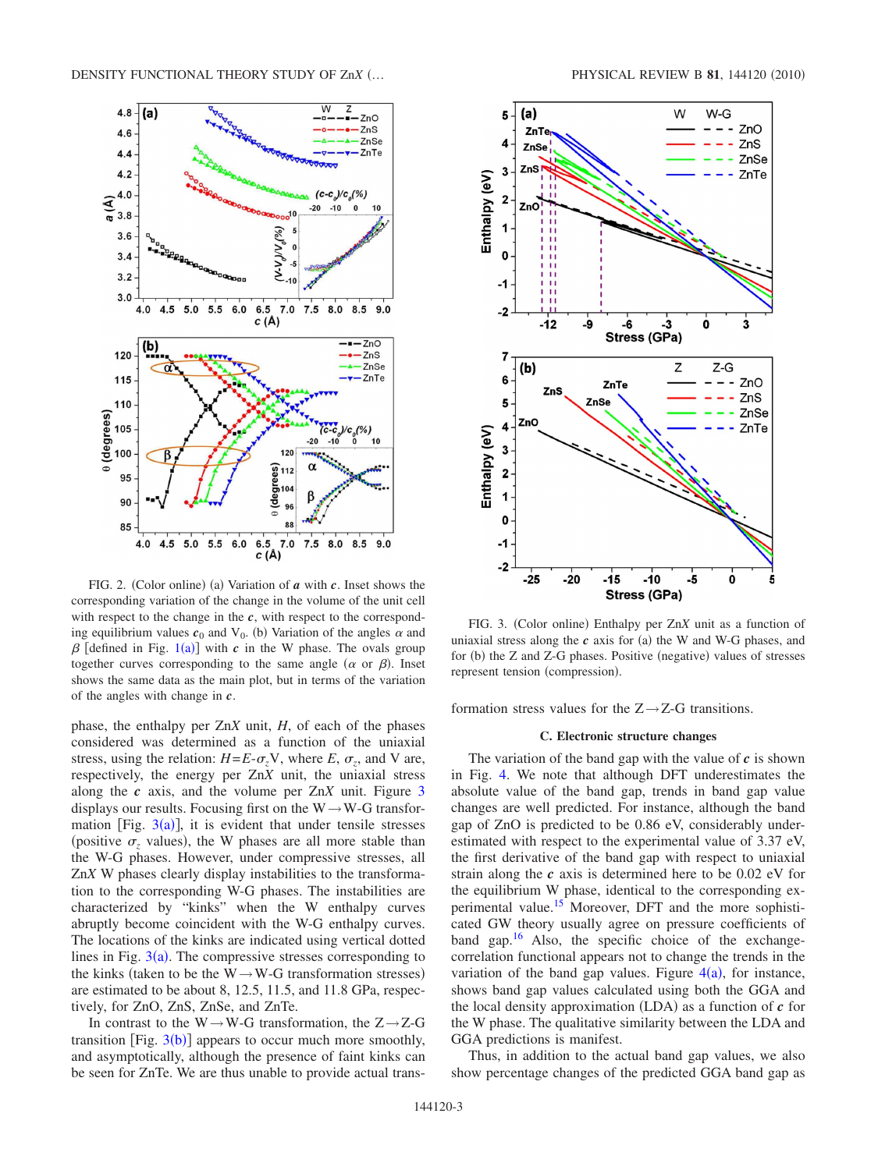<span id="page-2-0"></span>

FIG. 2. (Color online) (a) Variation of *a* with *c*. Inset shows the corresponding variation of the change in the volume of the unit cell with respect to the change in the *c*, with respect to the corresponding equilibrium values  $c_0$  and  $V_0$ . (b) Variation of the angles  $\alpha$  and  $\beta$  [defined in Fig. [1](#page-0-0)(a)] with *c* in the W phase. The ovals group together curves corresponding to the same angle  $(\alpha \text{ or } \beta)$ . Inset shows the same data as the main plot, but in terms of the variation of the angles with change in *c*.

phase, the enthalpy per Zn*X* unit, *H*, of each of the phases considered was determined as a function of the uniaxial stress, using the relation:  $H = E - \sigma_z V$ , where  $E, \sigma_z$ , and V are, respectively, the energy per Zn*X* unit, the uniaxial stress along the *c* axis, and the volume per Zn*X* unit. Figure [3](#page-2-1) displays our results. Focusing first on the  $W \rightarrow W-G$  transformation [Fig.  $3(a)$  $3(a)$ ], it is evident that under tensile stresses (positive  $\sigma_z$  values), the W phases are all more stable than the W-G phases. However, under compressive stresses, all Zn*X* W phases clearly display instabilities to the transformation to the corresponding W-G phases. The instabilities are characterized by "kinks" when the W enthalpy curves abruptly become coincident with the W-G enthalpy curves. The locations of the kinks are indicated using vertical dotted lines in Fig.  $3(a)$  $3(a)$ . The compressive stresses corresponding to the kinks (taken to be the W $\rightarrow$ W-G transformation stresses) are estimated to be about 8, 12.5, 11.5, and 11.8 GPa, respectively, for ZnO, ZnS, ZnSe, and ZnTe.

In contrast to the  $W \rightarrow W-G$  transformation, the  $Z \rightarrow Z-G$ transition [Fig.  $3(b)$  $3(b)$ ] appears to occur much more smoothly, and asymptotically, although the presence of faint kinks can be seen for ZnTe. We are thus unable to provide actual trans-

<span id="page-2-1"></span>

FIG. 3. (Color online) Enthalpy per ZnX unit as a function of uniaxial stress along the  $c$  axis for (a) the W and W-G phases, and for (b) the Z and Z-G phases. Positive (negative) values of stresses represent tension (compression).

formation stress values for the  $Z \rightarrow Z$ -G transitions.

### **C. Electronic structure changes**

The variation of the band gap with the value of *c* is shown in Fig. [4.](#page-3-0) We note that although DFT underestimates the absolute value of the band gap, trends in band gap value changes are well predicted. For instance, although the band gap of ZnO is predicted to be 0.86 eV, considerably underestimated with respect to the experimental value of 3.37 eV, the first derivative of the band gap with respect to uniaxial strain along the *c* axis is determined here to be 0.02 eV for the equilibrium W phase, identical to the corresponding experimental value.<sup>15</sup> Moreover, DFT and the more sophisticated GW theory usually agree on pressure coefficients of band gap. $16$  Also, the specific choice of the exchangecorrelation functional appears not to change the trends in the variation of the band gap values. Figure  $4(a)$  $4(a)$ , for instance, shows band gap values calculated using both the GGA and the local density approximation  $(LDA)$  as a function of  $c$  for the W phase. The qualitative similarity between the LDA and GGA predictions is manifest.

Thus, in addition to the actual band gap values, we also show percentage changes of the predicted GGA band gap as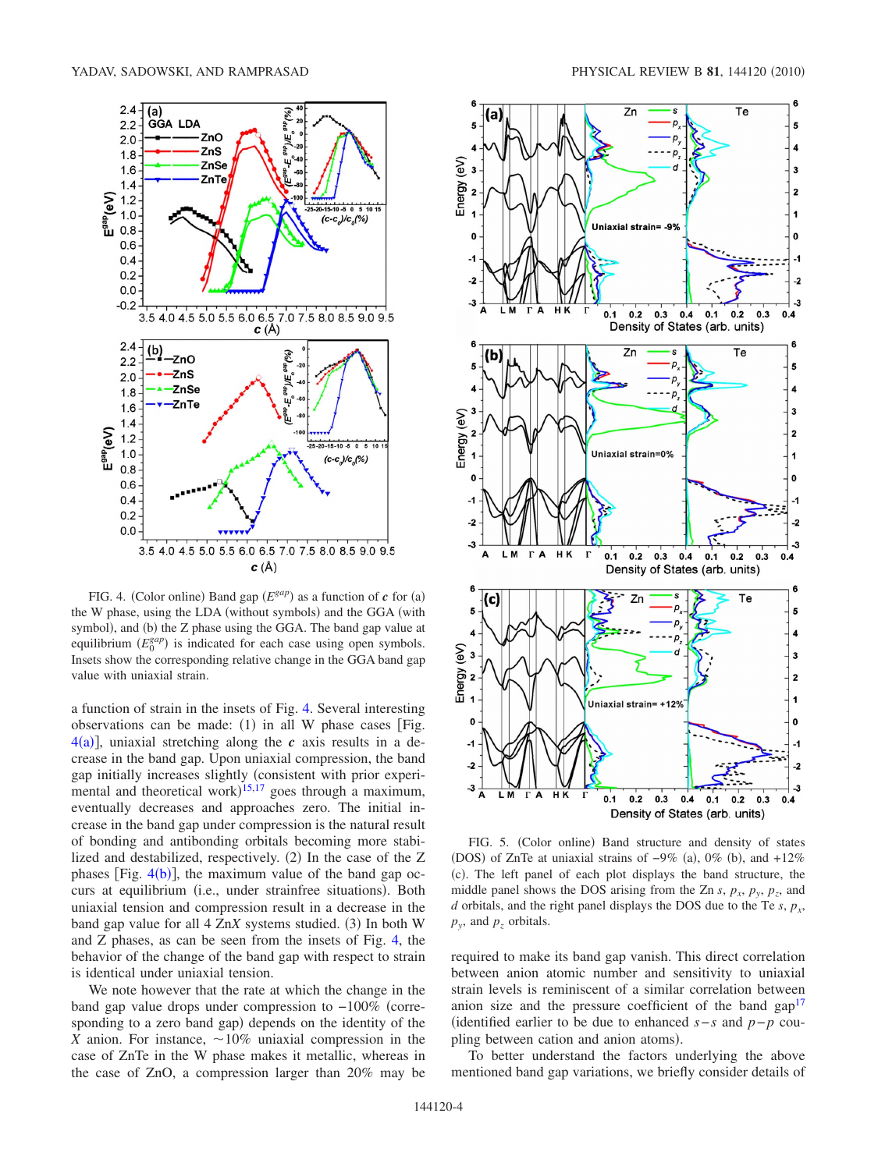<span id="page-3-0"></span>

FIG. 4. (Color online) Band gap  $(E^{gap})$  as a function of *c* for (a) the W phase, using the LDA (without symbols) and the GGA (with symbol), and (b) the Z phase using the GGA. The band gap value at equilibrium  $(E_0^{gap})$  is indicated for each case using open symbols. Insets show the corresponding relative change in the GGA band gap value with uniaxial strain.

a function of strain in the insets of Fig. [4.](#page-3-0) Several interesting observations can be made:  $(1)$  in all W phase cases [Fig.  $4(a)$  $4(a)$ ], uniaxial stretching along the *c* axis results in a decrease in the band gap. Upon uniaxial compression, the band gap initially increases slightly (consistent with prior experi-mental and theoretical work)<sup>[15,](#page-4-16)[17](#page-4-18)</sup> goes through a maximum, eventually decreases and approaches zero. The initial increase in the band gap under compression is the natural result of bonding and antibonding orbitals becoming more stabilized and destabilized, respectively. (2) In the case of the Z phases [Fig.  $4(b)$  $4(b)$ ], the maximum value of the band gap occurs at equilibrium (i.e., under strainfree situations). Both uniaxial tension and compression result in a decrease in the band gap value for all 4 ZnX systems studied. (3) In both W and Z phases, as can be seen from the insets of Fig. [4,](#page-3-0) the behavior of the change of the band gap with respect to strain is identical under uniaxial tension.

We note however that the rate at which the change in the band gap value drops under compression to −100% corresponding to a zero band gap) depends on the identity of the *X* anion. For instance,  $\sim 10\%$  uniaxial compression in the case of ZnTe in the W phase makes it metallic, whereas in the case of ZnO, a compression larger than 20% may be

<span id="page-3-1"></span>

FIG. 5. (Color online) Band structure and density of states (DOS) of ZnTe at uniaxial strains of  $-9\%$  (a), 0% (b), and  $+12\%$ (c). The left panel of each plot displays the band structure, the middle panel shows the DOS arising from the Zn  $s$ ,  $p_x$ ,  $p_y$ ,  $p_z$ , and *d* orbitals, and the right panel displays the DOS due to the Te *s*,  $p_x$ ,  $p_y$ , and  $p_z$  orbitals.

required to make its band gap vanish. This direct correlation between anion atomic number and sensitivity to uniaxial strain levels is reminiscent of a similar correlation between anion size and the pressure coefficient of the band  $\text{gap}^{17}$ identified earlier to be due to enhanced *s*−*s* and *p*−*p* coupling between cation and anion atoms).

To better understand the factors underlying the above mentioned band gap variations, we briefly consider details of